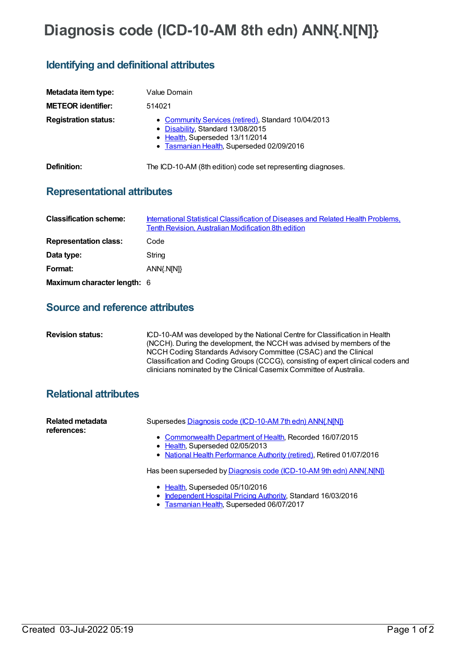# **Diagnosis code (ICD-10-AM 8th edn) ANN{.N[N]}**

## **Identifying and definitional attributes**

| Metadata item type:<br><b>METEOR identifier:</b> | Value Domain<br>514021                                                                                                                                                   |
|--------------------------------------------------|--------------------------------------------------------------------------------------------------------------------------------------------------------------------------|
| <b>Registration status:</b>                      | • Community Services (retired), Standard 10/04/2013<br>• Disability, Standard 13/08/2015<br>• Health, Superseded 13/11/2014<br>• Tasmanian Health, Superseded 02/09/2016 |
| Definition:                                      | The ICD-10-AM (8th edition) code set representing diagnoses.                                                                                                             |

# **Representational attributes**

| <b>Classification scheme:</b> | International Statistical Classification of Diseases and Related Health Problems,<br><b>Tenth Revision, Australian Modification 8th edition</b> |
|-------------------------------|-------------------------------------------------------------------------------------------------------------------------------------------------|
| <b>Representation class:</b>  | Code                                                                                                                                            |
| Data type:                    | String                                                                                                                                          |
| Format:                       | ANN{.N[N]}                                                                                                                                      |
| Maximum character length: 6   |                                                                                                                                                 |

#### **Source and reference attributes**

| <b>Revision status:</b> | ICD-10-AM was developed by the National Centre for Classification in Health                                                                               |
|-------------------------|-----------------------------------------------------------------------------------------------------------------------------------------------------------|
|                         | (NCCH). During the development, the NCCH was advised by members of the                                                                                    |
|                         | NCCH Coding Standards Advisory Committee (CSAC) and the Clinical                                                                                          |
|                         | Classification and Coding Groups (CCCG), consisting of expert clinical coders and<br>clinicians nominated by the Clinical Casemix Committee of Australia. |
|                         |                                                                                                                                                           |

### **Relational attributes**

| <b>Related metadata</b><br>references: | Supersedes Diagnosis code (ICD-10-AM 7th edn) ANN(.N[N])                                                                                                             |
|----------------------------------------|----------------------------------------------------------------------------------------------------------------------------------------------------------------------|
|                                        | • Commonwealth Department of Health, Recorded 16/07/2015<br>• Health, Superseded 02/05/2013<br>• National Health Performance Authority (retired), Retired 01/07/2016 |
|                                        | Has been superseded by Diagnosis code (ICD-10-AM 9th edn) ANN{.N[N]}                                                                                                 |
|                                        | • Health, Superseded 05/10/2016<br>a ledenardent Usenital Drising Authority Ctenderal 16/03/3016                                                                     |

- [Independent](https://meteor.aihw.gov.au/RegistrationAuthority/3) Hospital Pricing Authority, Standard 16/03/2016
- [Tasmanian](https://meteor.aihw.gov.au/RegistrationAuthority/15) Health, Superseded 06/07/2017